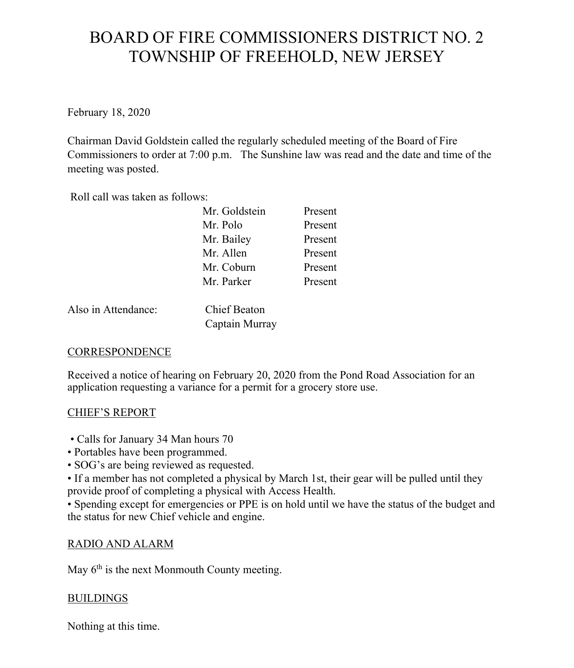# BOARD OF FIRE COMMISSIONERS DISTRICT NO. 2 TOWNSHIP OF FREEHOLD, NEW JERSEY

February 18, 2020

Chairman David Goldstein called the regularly scheduled meeting of the Board of Fire Commissioners to order at 7:00 p.m. The Sunshine law was read and the date and time of the meeting was posted.

Roll call was taken as follows:

| Mr. Goldstein | Present |
|---------------|---------|
| Mr. Polo      | Present |
| Mr. Bailey    | Present |
| Mr. Allen     | Present |
| Mr. Coburn    | Present |
| Mr. Parker    | Present |

Also in Attendance: Chief Beaton

Captain Murray

# **CORRESPONDENCE**

Received a notice of hearing on February 20, 2020 from the Pond Road Association for an application requesting a variance for a permit for a grocery store use.

#### CHIEF'S REPORT

- Calls for January 34 Man hours 70
- Portables have been programmed.
- SOG's are being reviewed as requested.

• If a member has not completed a physical by March 1st, their gear will be pulled until they provide proof of completing a physical with Access Health.

• Spending except for emergencies or PPE is on hold until we have the status of the budget and the status for new Chief vehicle and engine.

# RADIO AND ALARM

May  $6<sup>th</sup>$  is the next Monmouth County meeting.

#### BUILDINGS

Nothing at this time.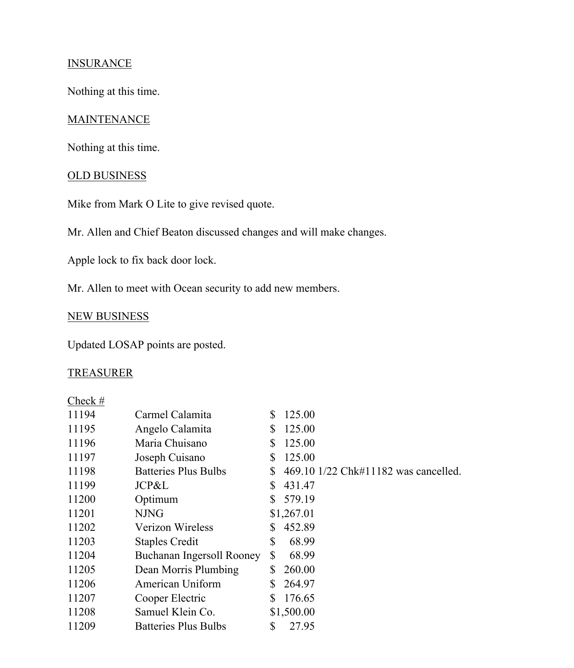## **INSURANCE**

Nothing at this time.

#### **MAINTENANCE**

Nothing at this time.

## OLD BUSINESS

Mike from Mark O Lite to give revised quote.

Mr. Allen and Chief Beaton discussed changes and will make changes.

Apple lock to fix back door lock.

Mr. Allen to meet with Ocean security to add new members.

## NEW BUSINESS

Updated LOSAP points are posted.

## TREASURER

| Check $#$ |                             |              |                                      |
|-----------|-----------------------------|--------------|--------------------------------------|
| 11194     | Carmel Calamita             | S            | 125.00                               |
| 11195     | Angelo Calamita             | S            | 125.00                               |
| 11196     | Maria Chuisano              | \$           | 125.00                               |
| 11197     | Joseph Cuisano              | S            | 125.00                               |
| 11198     | <b>Batteries Plus Bulbs</b> | S            | 469.10 1/22 Chk#11182 was cancelled. |
| 11199     | JCP&L                       | S            | 431.47                               |
| 11200     | Optimum                     | S.           | 579.19                               |
| 11201     | <b>NJNG</b>                 |              | \$1,267.01                           |
| 11202     | Verizon Wireless            | S            | 452.89                               |
| 11203     | <b>Staples Credit</b>       | \$           | 68.99                                |
| 11204     | Buchanan Ingersoll Rooney   | $\mathbb{S}$ | 68.99                                |
| 11205     | Dean Morris Plumbing        | S            | 260.00                               |
| 11206     | American Uniform            | S            | 264.97                               |
| 11207     | Cooper Electric             | S            | 176.65                               |
| 11208     | Samuel Klein Co.            |              | \$1,500.00                           |
| 11209     | <b>Batteries Plus Bulbs</b> | \$           | 27.95                                |